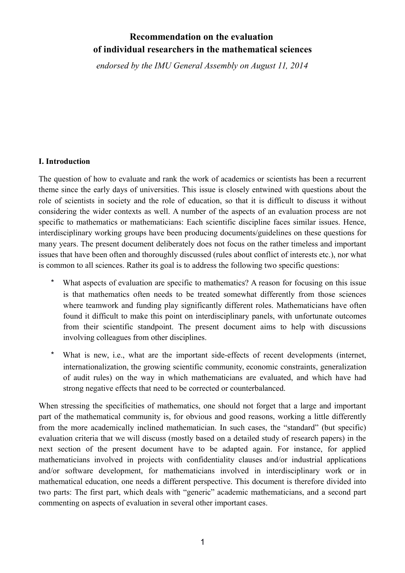# **Recommendation on the evaluation of individual researchers in the mathematical sciences**

*endorsed by the IMU General Assembly on August 11, 2014*

#### **I. Introduction**

The question of how to evaluate and rank the work of academics or scientists has been a recurrent theme since the early days of universities. This issue is closely entwined with questions about the role of scientists in society and the role of education, so that it is difficult to discuss it without considering the wider contexts as well. A number of the aspects of an evaluation process are not specific to mathematics or mathematicians: Each scientific discipline faces similar issues. Hence, interdisciplinary working groups have been producing documents/guidelines on these questions for many years. The present document deliberately does not focus on the rather timeless and important issues that have been often and thoroughly discussed (rules about conflict of interests etc.), nor what is common to all sciences. Rather its goal is to address the following two specific questions:

- What aspects of evaluation are specific to mathematics? A reason for focusing on this issue is that mathematics often needs to be treated somewhat differently from those sciences where teamwork and funding play significantly different roles. Mathematicians have often found it difficult to make this point on interdisciplinary panels, with unfortunate outcomes from their scientific standpoint. The present document aims to help with discussions involving colleagues from other disciplines.
- What is new, i.e., what are the important side-effects of recent developments (internet, internationalization, the growing scientific community, economic constraints, generalization of audit rules) on the way in which mathematicians are evaluated, and which have had strong negative effects that need to be corrected or counterbalanced.

When stressing the specificities of mathematics, one should not forget that a large and important part of the mathematical community is, for obvious and good reasons, working a little differently from the more academically inclined mathematician. In such cases, the "standard" (but specific) evaluation criteria that we will discuss (mostly based on a detailed study of research papers) in the next section of the present document have to be adapted again. For instance, for applied mathematicians involved in projects with confidentiality clauses and/or industrial applications and/or software development, for mathematicians involved in interdisciplinary work or in mathematical education, one needs a different perspective. This document is therefore divided into two parts: The first part, which deals with "generic" academic mathematicians, and a second part commenting on aspects of evaluation in several other important cases.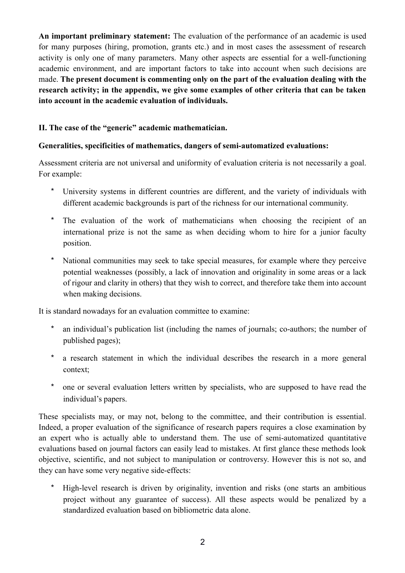**An important preliminary statement:** The evaluation of the performance of an academic is used for many purposes (hiring, promotion, grants etc.) and in most cases the assessment of research activity is only one of many parameters. Many other aspects are essential for a well-functioning academic environment, and are important factors to take into account when such decisions are made. **The present document is commenting only on the part of the evaluation dealing with the research activity; in the appendix, we give some examples of other criteria that can be taken into account in the academic evaluation of individuals.** 

# **II. The case of the "generic" academic mathematician.**

# **Generalities, specificities of mathematics, dangers of semi-automatized evaluations:**

Assessment criteria are not universal and uniformity of evaluation criteria is not necessarily a goal. For example:

- \* University systems in different countries are different, and the variety of individuals with different academic backgrounds is part of the richness for our international community.
- \* The evaluation of the work of mathematicians when choosing the recipient of an international prize is not the same as when deciding whom to hire for a junior faculty position.
- \* National communities may seek to take special measures, for example where they perceive potential weaknesses (possibly, a lack of innovation and originality in some areas or a lack of rigour and clarity in others) that they wish to correct, and therefore take them into account when making decisions.

It is standard nowadays for an evaluation committee to examine:

- an individual's publication list (including the names of journals; co-authors; the number of published pages);
- \* a research statement in which the individual describes the research in a more general context;
- \* one or several evaluation letters written by specialists, who are supposed to have read the individual's papers.

These specialists may, or may not, belong to the committee, and their contribution is essential. Indeed, a proper evaluation of the significance of research papers requires a close examination by an expert who is actually able to understand them. The use of semi-automatized quantitative evaluations based on journal factors can easily lead to mistakes. At first glance these methods look objective, scientific, and not subject to manipulation or controversy. However this is not so, and they can have some very negative side-effects:

\* High-level research is driven by originality, invention and risks (one starts an ambitious project without any guarantee of success). All these aspects would be penalized by a standardized evaluation based on bibliometric data alone.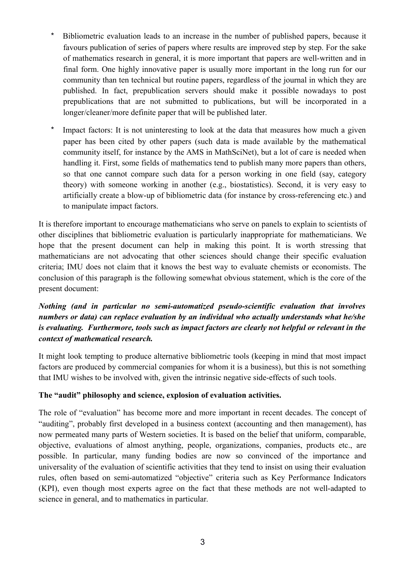- \* Bibliometric evaluation leads to an increase in the number of published papers, because it favours publication of series of papers where results are improved step by step. For the sake of mathematics research in general, it is more important that papers are well-written and in final form. One highly innovative paper is usually more important in the long run for our community than ten technical but routine papers, regardless of the journal in which they are published. In fact, prepublication servers should make it possible nowadays to post prepublications that are not submitted to publications, but will be incorporated in a longer/cleaner/more definite paper that will be published later.
- \* Impact factors: It is not uninteresting to look at the data that measures how much a given paper has been cited by other papers (such data is made available by the mathematical community itself, for instance by the AMS in MathSciNet), but a lot of care is needed when handling it. First, some fields of mathematics tend to publish many more papers than others, so that one cannot compare such data for a person working in one field (say, category theory) with someone working in another (e.g., biostatistics). Second, it is very easy to artificially create a blow-up of bibliometric data (for instance by cross-referencing etc.) and to manipulate impact factors.

It is therefore important to encourage mathematicians who serve on panels to explain to scientists of other disciplines that bibliometric evaluation is particularly inappropriate for mathematicians. We hope that the present document can help in making this point. It is worth stressing that mathematicians are not advocating that other sciences should change their specific evaluation criteria; IMU does not claim that it knows the best way to evaluate chemists or economists. The conclusion of this paragraph is the following somewhat obvious statement, which is the core of the present document:

# *Nothing (and in particular no semi-automatized pseudo-scientific evaluation that involves numbers or data) can replace evaluation by an individual who actually understands what he/she is evaluating. Furthermore, tools such as impact factors are clearly not helpful or relevant in the context of mathematical research.*

It might look tempting to produce alternative bibliometric tools (keeping in mind that most impact factors are produced by commercial companies for whom it is a business), but this is not something that IMU wishes to be involved with, given the intrinsic negative side-effects of such tools.

# **The "audit" philosophy and science, explosion of evaluation activities.**

The role of "evaluation" has become more and more important in recent decades. The concept of "auditing", probably first developed in a business context (accounting and then management), has now permeated many parts of Western societies. It is based on the belief that uniform, comparable, objective, evaluations of almost anything, people, organizations, companies, products etc., are possible. In particular, many funding bodies are now so convinced of the importance and universality of the evaluation of scientific activities that they tend to insist on using their evaluation rules, often based on semi-automatized "objective" criteria such as Key Performance Indicators (KPI), even though most experts agree on the fact that these methods are not well-adapted to science in general, and to mathematics in particular.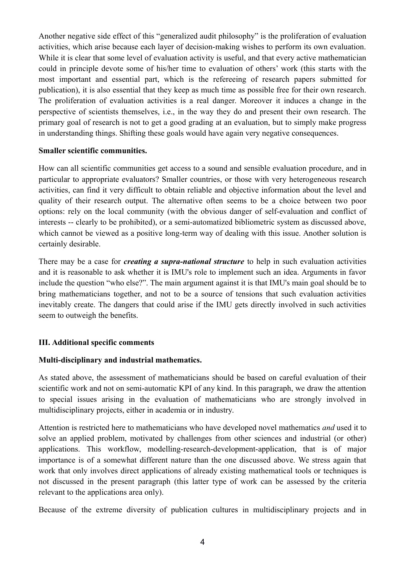Another negative side effect of this "generalized audit philosophy" is the proliferation of evaluation activities, which arise because each layer of decision-making wishes to perform its own evaluation. While it is clear that some level of evaluation activity is useful, and that every active mathematician could in principle devote some of his/her time to evaluation of others' work (this starts with the most important and essential part, which is the refereeing of research papers submitted for publication), it is also essential that they keep as much time as possible free for their own research. The proliferation of evaluation activities is a real danger. Moreover it induces a change in the perspective of scientists themselves, i.e., in the way they do and present their own research. The primary goal of research is not to get a good grading at an evaluation, but to simply make progress in understanding things. Shifting these goals would have again very negative consequences.

#### **Smaller scientific communities.**

How can all scientific communities get access to a sound and sensible evaluation procedure, and in particular to appropriate evaluators? Smaller countries, or those with very heterogeneous research activities, can find it very difficult to obtain reliable and objective information about the level and quality of their research output. The alternative often seems to be a choice between two poor options: rely on the local community (with the obvious danger of self-evaluation and conflict of interests -- clearly to be prohibited), or a semi-automatized bibliometric system as discussed above, which cannot be viewed as a positive long-term way of dealing with this issue. Another solution is certainly desirable.

There may be a case for *creating a supra-national structure* to help in such evaluation activities and it is reasonable to ask whether it is IMU's role to implement such an idea. Arguments in favor include the question "who else?". The main argument against it is that IMU's main goal should be to bring mathematicians together, and not to be a source of tensions that such evaluation activities inevitably create. The dangers that could arise if the IMU gets directly involved in such activities seem to outweigh the benefits.

# **III. Additional specific comments**

# **Multi-disciplinary and industrial mathematics.**

As stated above, the assessment of mathematicians should be based on careful evaluation of their scientific work and not on semi-automatic KPI of any kind. In this paragraph, we draw the attention to special issues arising in the evaluation of mathematicians who are strongly involved in multidisciplinary projects, either in academia or in industry.

Attention is restricted here to mathematicians who have developed novel mathematics *and* used it to solve an applied problem, motivated by challenges from other sciences and industrial (or other) applications. This workflow, modelling-research-development-application, that is of major importance is of a somewhat different nature than the one discussed above. We stress again that work that only involves direct applications of already existing mathematical tools or techniques is not discussed in the present paragraph (this latter type of work can be assessed by the criteria relevant to the applications area only).

Because of the extreme diversity of publication cultures in multidisciplinary projects and in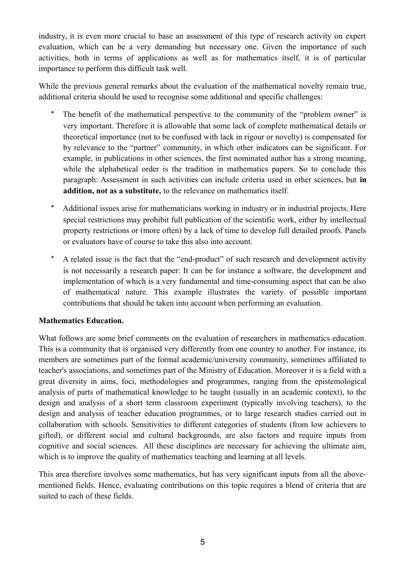industry, it is even more crucial to base an assessment of this type of research activity on expert evaluation, which can be a very demanding but necessary one. Given the importance of such activities, both in terms of applications as well as for mathematics itself, it is of particular importance to perform this difficult task well.

While the previous general remarks about the evaluation of the mathematical novelty remain true, additional criteria should be used to recognise some additional and specific challenges:

- The benefit of the mathematical perspective to the community of the "problem owner" is very important. Therefore it is allowable that some lack of complete mathematical details or theoretical importance (not to be confused with lack in rigour or novelty) is compensated for by relevance to the "partner" community, in which other indicators can be significant. For example, in publications in other sciences, the first nominated author has a strong meaning, while the alphabetical order is the tradition in mathematics papers. So to conclude this paragraph: Assessment in such activities can include criteria used in other sciences, but **in addition, not as a substitute,** to the relevance on mathematics itself.
- \* Additional issues arise for mathematicians working in industry or in industrial projects. Here special restrictions may prohibit full publication of the scientific work, either by intellectual property restrictions or (more often) by a lack of time to develop full detailed proofs. Panels or evaluators have of course to take this also into account.
- \* A related issue is the fact that the "end-product" of such research and development activity is not necessarily a research paper: It can be for instance a software, the development and implementation of which is a very fundamental and time-consuming aspect that can be also of mathematical nature. This example illustrates the variety of possible important contributions that should be taken into account when performing an evaluation.

# **Mathematics Education.**

What follows are some brief comments on the evaluation of researchers in mathematics education. This is a community that is organised very differently from one country to another. For instance, its members are sometimes part of the formal academic/university community, sometimes affiliated to teacher's associations, and sometimes part of the Ministry of Education. Moreover it is a field with a great diversity in aims, foci, methodologies and programmes, ranging from the epistemological analysis of parts of mathematical knowledge to be taught (usually in an academic context), to the design and analysis of a short term classroom experiment (typically involving teachers), to the design and analysis of teacher education programmes, or to large research studies carried out in collaboration with schools. Sensitivities to different categories of students (from low achievers to gifted), or different social and cultural backgrounds, are also factors and require inputs from cognitive and social sciences. All these disciplines are necessary for achieving the ultimate aim, which is to improve the quality of mathematics teaching and learning at all levels.

This area therefore involves some mathematics, but has very significant inputs from all the abovementioned fields. Hence, evaluating contributions on this topic requires a blend of criteria that are suited to each of these fields.